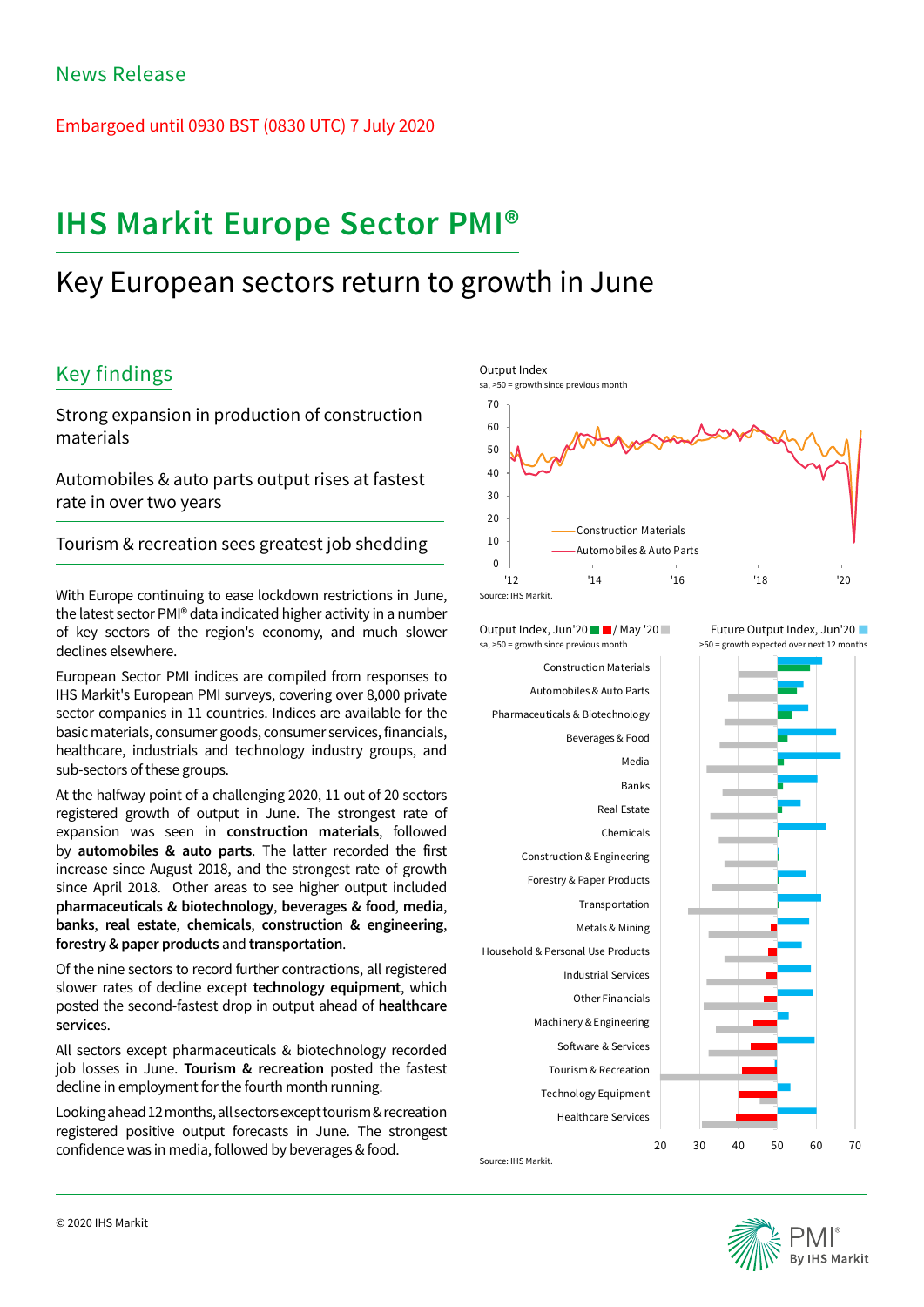Embargoed until 0930 BST (0830 UTC) 7 July 2020

# **IHS Markit Europe Sector PMI®**

## Key European sectors return to growth in June

## Key findings

Strong expansion in production of construction materials

Automobiles & auto parts output rises at fastest rate in over two years

Tourism & recreation sees greatest job shedding

With Europe continuing to ease lockdown restrictions in June, the latest sector PMI® data indicated higher activity in a number of key sectors of the region's economy, and much slower declines elsewhere.

European Sector PMI indices are compiled from responses to IHS Markit's European PMI surveys, covering over 8,000 private sector companies in 11 countries. Indices are available for the basic materials, consumer goods, consumer services, financials, healthcare, industrials and technology industry groups, and sub-sectors of these groups.

At the halfway point of a challenging 2020, 11 out of 20 sectors registered growth of output in June. The strongest rate of expansion was seen in **construction materials**, followed by **automobiles & auto parts**. The latter recorded the first increase since August 2018, and the strongest rate of growth since April 2018. Other areas to see higher output included **pharmaceuticals & biotechnology**, **beverages & food**, **media**, **banks**, **real estate**, **chemicals**, **construction & engineering**, **forestry & paper products** and **transportation**.

Of the nine sectors to record further contractions, all registered slower rates of decline except **technology equipment**, which posted the second-fastest drop in output ahead of **healthcare service**s.

All sectors except pharmaceuticals & biotechnology recorded job losses in June. **Tourism & recreation** posted the fastest decline in employment for the fourth month running.

Looking ahead 12 months, all sectors except tourism & recreation registered positive output forecasts in June. The strongest confidence was in media, followed by beverages & food.



Output Index, Jun'20  $\blacksquare$ / May '20 sa, >50 = growth since previous month

Healthcare Services Technology Equipment Tourism & Recreation Software & Services Machinery & Engineering Other Financials Industrial Services Household & Personal Use Products Metals & Mining Transportation Forestry & Paper Products Construction & Engineering Chemicals Real Estate Banks Media Beverages & Food Pharmaceuticals & Biotechnology Automobiles & Auto Parts Construction Materials

Source: IHS Markit.

Future Output Index, Jun'20 >50 = growth expected over next 12 months